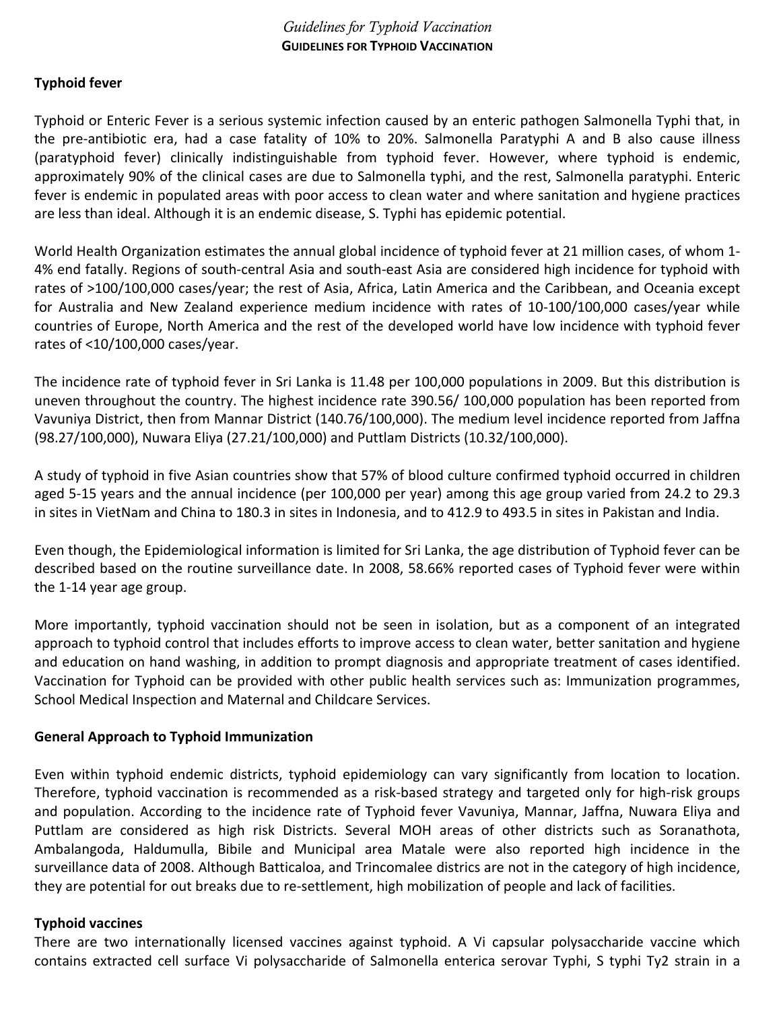## *Guidelines for Typhoid Vaccination*  **GUIDELINES FOR TYPHOID VACCINATION**

## **Typhoid fever**

Typhoid or Enteric Fever is a serious systemic infection caused by an enteric pathogen Salmonella Typhi that, in the pre‐antibiotic era, had a case fatality of 10% to 20%. Salmonella Paratyphi A and B also cause illness (paratyphoid fever) clinically indistinguishable from typhoid fever. However, where typhoid is endemic, approximately 90% of the clinical cases are due to Salmonella typhi, and the rest, Salmonella paratyphi. Enteric fever is endemic in populated areas with poor access to clean water and where sanitation and hygiene practices are less than ideal. Although it is an endemic disease, S. Typhi has epidemic potential.

World Health Organization estimates the annual global incidence of typhoid fever at 21 million cases, of whom 1‐ 4% end fatally. Regions of south‐central Asia and south‐east Asia are considered high incidence for typhoid with rates of >100/100,000 cases/year; the rest of Asia, Africa, Latin America and the Caribbean, and Oceania except for Australia and New Zealand experience medium incidence with rates of 10-100/100,000 cases/year while countries of Europe, North America and the rest of the developed world have low incidence with typhoid fever rates of <10/100,000 cases/year.

The incidence rate of typhoid fever in Sri Lanka is 11.48 per 100,000 populations in 2009. But this distribution is uneven throughout the country. The highest incidence rate 390.56/ 100,000 population has been reported from Vavuniya District, then from Mannar District (140.76/100,000). The medium level incidence reported from Jaffna (98.27/100,000), Nuwara Eliya (27.21/100,000) and Puttlam Districts (10.32/100,000).

A study of typhoid in five Asian countries show that 57% of blood culture confirmed typhoid occurred in children aged 5‐15 years and the annual incidence (per 100,000 per year) among this age group varied from 24.2 to 29.3 in sites in VietNam and China to 180.3 in sites in Indonesia, and to 412.9 to 493.5 in sites in Pakistan and India.

Even though, the Epidemiological information is limited for Sri Lanka, the age distribution of Typhoid fever can be described based on the routine surveillance date. In 2008, 58.66% reported cases of Typhoid fever were within the 1‐14 year age group.

More importantly, typhoid vaccination should not be seen in isolation, but as a component of an integrated approach to typhoid control that includes efforts to improve access to clean water, better sanitation and hygiene and education on hand washing, in addition to prompt diagnosis and appropriate treatment of cases identified. Vaccination for Typhoid can be provided with other public health services such as: Immunization programmes, School Medical Inspection and Maternal and Childcare Services.

#### **General Approach to Typhoid Immunization**

Even within typhoid endemic districts, typhoid epidemiology can vary significantly from location to location. Therefore, typhoid vaccination is recommended as a risk‐based strategy and targeted only for high‐risk groups and population. According to the incidence rate of Typhoid fever Vavuniya, Mannar, Jaffna, Nuwara Eliya and Puttlam are considered as high risk Districts. Several MOH areas of other districts such as Soranathota, Ambalangoda, Haldumulla, Bibile and Municipal area Matale were also reported high incidence in the surveillance data of 2008. Although Batticaloa, and Trincomalee districs are not in the category of high incidence, they are potential for out breaks due to re‐settlement, high mobilization of people and lack of facilities.

#### **Typhoid vaccines**

There are two internationally licensed vaccines against typhoid. A Vi capsular polysaccharide vaccine which contains extracted cell surface Vi polysaccharide of Salmonella enterica serovar Typhi, S typhi Ty2 strain in a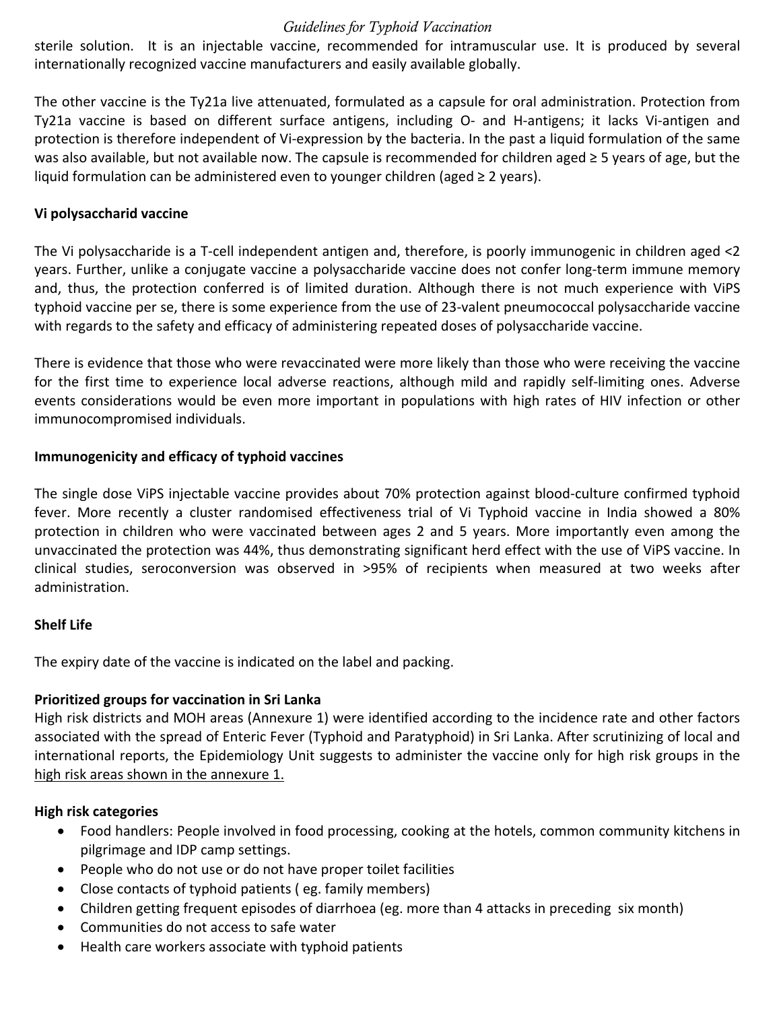## *Guidelines for Typhoid Vaccination*

sterile solution. It is an injectable vaccine, recommended for intramuscular use. It is produced by several internationally recognized vaccine manufacturers and easily available globally.

The other vaccine is the Ty21a live attenuated, formulated as a capsule for oral administration. Protection from Ty21a vaccine is based on different surface antigens, including O‐ and H‐antigens; it lacks Vi‐antigen and protection is therefore independent of Vi‐expression by the bacteria. In the past a liquid formulation of the same was also available, but not available now. The capsule is recommended for children aged ≥ 5 years of age, but the liquid formulation can be administered even to younger children (aged  $\geq 2$  years).

## **Vi polysaccharid vaccine**

The Vi polysaccharide is a T‐cell independent antigen and, therefore, is poorly immunogenic in children aged <2 years. Further, unlike a conjugate vaccine a polysaccharide vaccine does not confer long‐term immune memory and, thus, the protection conferred is of limited duration. Although there is not much experience with ViPS typhoid vaccine per se, there is some experience from the use of 23‐valent pneumococcal polysaccharide vaccine with regards to the safety and efficacy of administering repeated doses of polysaccharide vaccine.

There is evidence that those who were revaccinated were more likely than those who were receiving the vaccine for the first time to experience local adverse reactions, although mild and rapidly self-limiting ones. Adverse events considerations would be even more important in populations with high rates of HIV infection or other immunocompromised individuals.

## **Immunogenicity and efficacy of typhoid vaccines**

The single dose ViPS injectable vaccine provides about 70% protection against blood‐culture confirmed typhoid fever. More recently a cluster randomised effectiveness trial of Vi Typhoid vaccine in India showed a 80% protection in children who were vaccinated between ages 2 and 5 years. More importantly even among the unvaccinated the protection was 44%, thus demonstrating significant herd effect with the use of ViPS vaccine. In clinical studies, seroconversion was observed in >95% of recipients when measured at two weeks after administration.

## **Shelf Life**

The expiry date of the vaccine is indicated on the label and packing.

## **Prioritized groups for vaccination in Sri Lanka**

High risk districts and MOH areas (Annexure 1) were identified according to the incidence rate and other factors associated with the spread of Enteric Fever (Typhoid and Paratyphoid) in Sri Lanka. After scrutinizing of local and international reports, the Epidemiology Unit suggests to administer the vaccine only for high risk groups in the high risk areas shown in the annexure 1.

# **High risk categories**

- Food handlers: People involved in food processing, cooking at the hotels, common community kitchens in pilgrimage and IDP camp settings.
- People who do not use or do not have proper toilet facilities
- Close contacts of typhoid patients (eg. family members)
- Children getting frequent episodes of diarrhoea (eg. more than 4 attacks in preceding six month)
- Communities do not access to safe water
- Health care workers associate with typhoid patients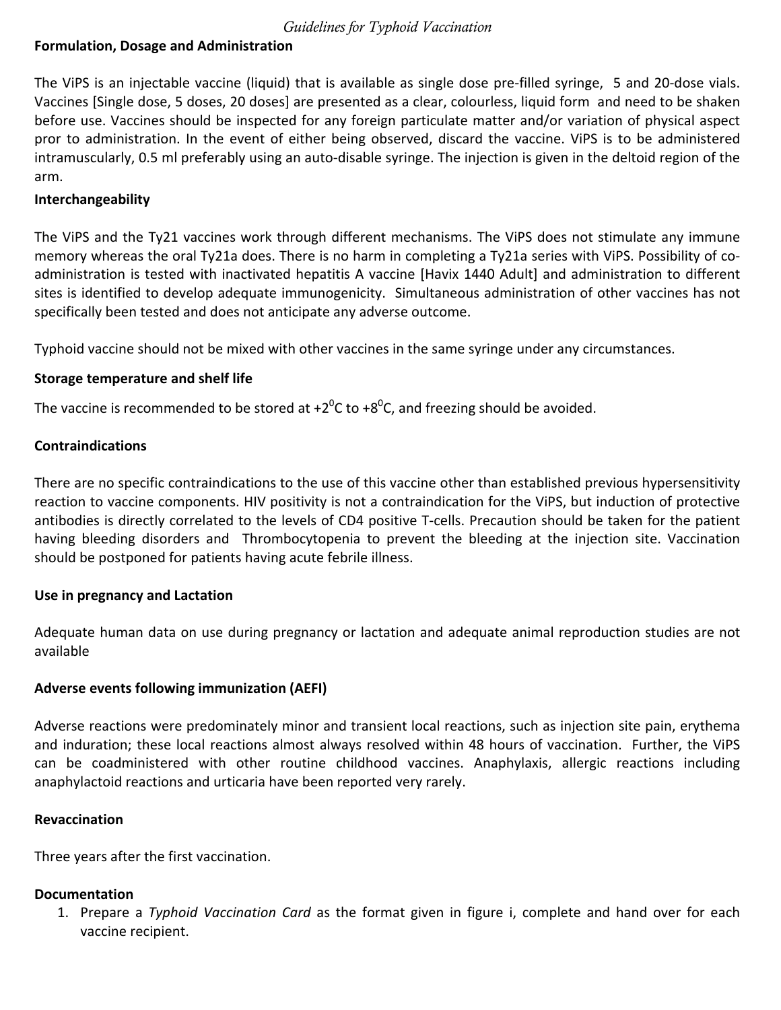#### *Guidelines for Typhoid Vaccination*

## **Formulation, Dosage and Administration**

The ViPS is an injectable vaccine (liquid) that is available as single dose pre-filled syringe, 5 and 20-dose vials. Vaccines [Single dose, 5 doses, 20 doses] are presented as a clear, colourless, liquid form and need to be shaken before use. Vaccines should be inspected for any foreign particulate matter and/or variation of physical aspect pror to administration. In the event of either being observed, discard the vaccine. ViPS is to be administered intramuscularly, 0.5 ml preferably using an auto‐disable syringe. The injection is given in the deltoid region of the arm.

## **Interchangeability**

The ViPS and the Ty21 vaccines work through different mechanisms. The ViPS does not stimulate any immune memory whereas the oral Ty21a does. There is no harm in completing a Ty21a series with ViPS. Possibility of co‐ administration is tested with inactivated hepatitis A vaccine [Havix 1440 Adult] and administration to different sites is identified to develop adequate immunogenicity. Simultaneous administration of other vaccines has not specifically been tested and does not anticipate any adverse outcome.

Typhoid vaccine should not be mixed with other vaccines in the same syringe under any circumstances.

#### **Storage temperature and shelf life**

The vaccine is recommended to be stored at +2<sup>0</sup>C to +8<sup>0</sup>C, and freezing should be avoided.

## **Contraindications**

There are no specific contraindications to the use of this vaccine other than established previous hypersensitivity reaction to vaccine components. HIV positivity is not a contraindication for the ViPS, but induction of protective antibodies is directly correlated to the levels of CD4 positive T‐cells. Precaution should be taken for the patient having bleeding disorders and Thrombocytopenia to prevent the bleeding at the injection site. Vaccination should be postponed for patients having acute febrile illness.

#### **Use in pregnancy and Lactation**

Adequate human data on use during pregnancy or lactation and adequate animal reproduction studies are not available

#### **Adverse events following immunization (AEFI)**

Adverse reactions were predominately minor and transient local reactions, such as injection site pain, erythema and induration; these local reactions almost always resolved within 48 hours of vaccination. Further, the ViPS can be coadministered with other routine childhood vaccines. Anaphylaxis, allergic reactions including anaphylactoid reactions and urticaria have been reported very rarely.

#### **Revaccination**

Three years after the first vaccination.

## **Documentation**

1. Prepare a *Typhoid Vaccination Card* as the format given in figure i, complete and hand over for each vaccine recipient.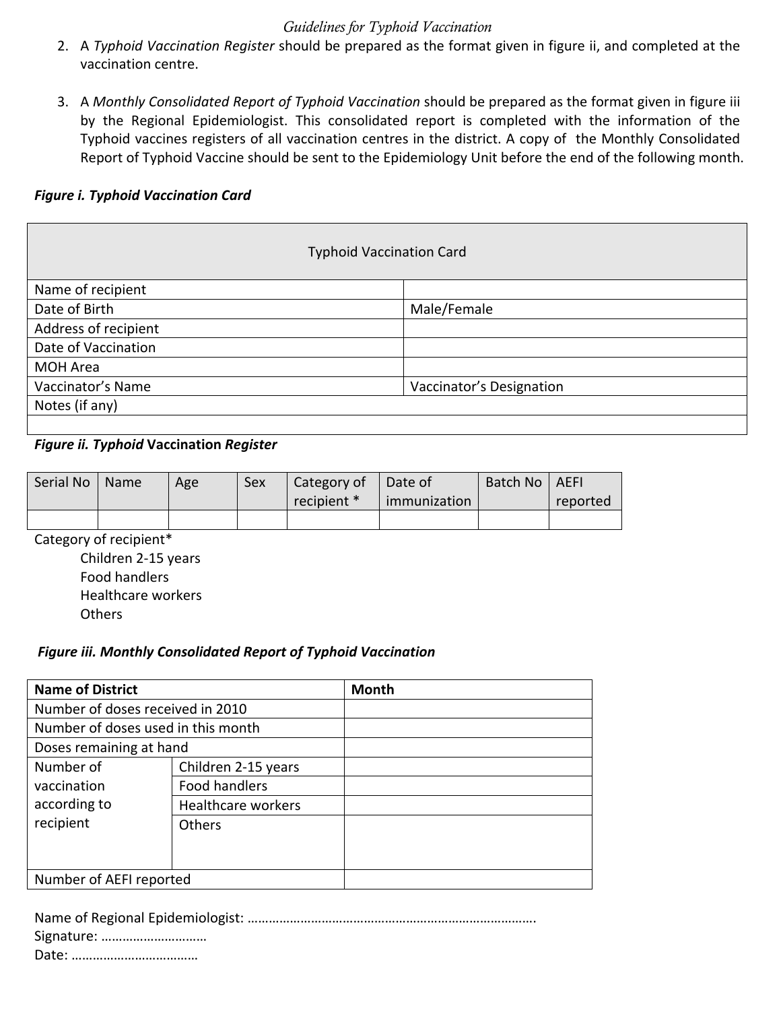## *Guidelines for Typhoid Vaccination*

- 2. A *Typhoid Vaccination Register* should be prepared as the format given in figure ii, and completed at the vaccination centre.
- 3. A *Monthly Consolidated Report of Typhoid Vaccination* should be prepared as the format given in figure iii by the Regional Epidemiologist. This consolidated report is completed with the information of the Typhoid vaccines registers of all vaccination centres in the district. A copy of the Monthly Consolidated Report of Typhoid Vaccine should be sent to the Epidemiology Unit before the end of the following month.

## *Figure i. Typhoid Vaccination Card*

| <b>Typhoid Vaccination Card</b> |                          |  |  |  |  |  |
|---------------------------------|--------------------------|--|--|--|--|--|
| Name of recipient               |                          |  |  |  |  |  |
| Date of Birth                   | Male/Female              |  |  |  |  |  |
| Address of recipient            |                          |  |  |  |  |  |
| Date of Vaccination             |                          |  |  |  |  |  |
| <b>MOH Area</b>                 |                          |  |  |  |  |  |
| Vaccinator's Name               | Vaccinator's Designation |  |  |  |  |  |
| Notes (if any)                  |                          |  |  |  |  |  |
|                                 |                          |  |  |  |  |  |

## *Figure ii. Typhoid* **Vaccination** *Register*

| Serial No | Name | Age | Sex | Category of<br>recipient * | Date of<br>immunization | Batch No   AEFI | reported |
|-----------|------|-----|-----|----------------------------|-------------------------|-----------------|----------|
|           |      |     |     |                            |                         |                 |          |

Category of recipient\*

Children 2‐15 years Food handlers Healthcare workers **Others** 

#### *Figure iii. Monthly Consolidated Report of Typhoid Vaccination*

| <b>Name of District</b>            |                     | <b>Month</b> |
|------------------------------------|---------------------|--------------|
| Number of doses received in 2010   |                     |              |
| Number of doses used in this month |                     |              |
| Doses remaining at hand            |                     |              |
| Number of                          | Children 2-15 years |              |
| vaccination                        | Food handlers       |              |
| according to                       | Healthcare workers  |              |
| recipient                          | <b>Others</b>       |              |
|                                    |                     |              |
|                                    |                     |              |
| Number of AEFI reported            |                     |              |

| Signature: |  |
|------------|--|

Date: ………………………………